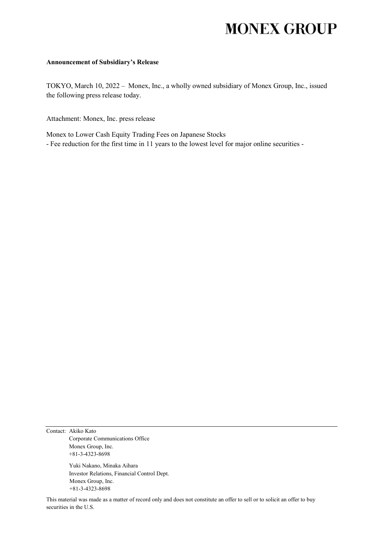# **MONEX GROUP**

#### **Announcement of Subsidiary's Release**

TOKYO, March 10, 2022 – Monex, Inc., a wholly owned subsidiary of Monex Group, Inc., issued the following press release today.

Attachment: Monex, Inc. press release

Monex to Lower Cash Equity Trading Fees on Japanese Stocks

- Fee reduction for the first time in 11 years to the lowest level for major online securities -

Contact: Akiko Kato Corporate Communications Office Monex Group, Inc. +81-3-4323-8698

> Yuki Nakano, Minaka Aihara Investor Relations, Financial Control Dept. Monex Group, Inc. +81-3-4323-8698

This material was made as a matter of record only and does not constitute an offer to sell or to solicit an offer to buy securities in the U.S.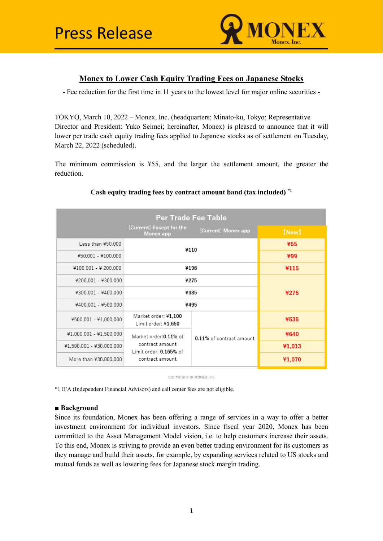

### **Monex to Lower Cash Equity Trading Fees on Japanese Stocks**

- Fee reduction for the first time in 11 years to the lowest level for major online securities -

TOKYO, March 10, 2022 – Monex, Inc. (headquarters; Minato-ku, Tokyo; Representative Director and President: Yuko Seimei; hereinafter, Monex) is pleased to announce that it will lower per trade cash equity trading fees applied to Japanese stocks as of settlement on Tuesday, March 22, 2022 (scheduled).

The minimum commission is ¥55, and the larger the settlement amount, the greater the reduction.

| <b>Per Trade Fee Table</b> |                                                                                        |                          |        |  |  |
|----------------------------|----------------------------------------------------------------------------------------|--------------------------|--------|--|--|
|                            | [Current] Except for the<br><b>Monex app</b>                                           | [Current] Monex app      | [New]  |  |  |
| Less than ¥50,000          | ¥110                                                                                   |                          | ¥55    |  |  |
| ¥50,001 - ¥100,000         |                                                                                        |                          | ¥99    |  |  |
| ¥100,001 - ¥ 200,000       | ¥198                                                                                   |                          | ¥115   |  |  |
| ¥200,001 - ¥300,000        | ¥275                                                                                   |                          | ¥275   |  |  |
| ¥300,001 - ¥400,000        | ¥385                                                                                   |                          |        |  |  |
| ¥400,001 - ¥500,000        | ¥495                                                                                   |                          |        |  |  |
| ¥500.001 - ¥1.000.000      | Market order: ¥1,100<br>Limit order: ¥1,650                                            |                          | ¥535   |  |  |
| ¥1,000,001 - ¥1,500,000    | Market order: 0.11% of<br>contract amount<br>Limit order: 0.165% of<br>contract amount | 0.11% of contract amount | ¥640   |  |  |
| ¥1,500,001 - ¥30,000,000   |                                                                                        |                          | ¥1,013 |  |  |
| More than ¥30,000,000      |                                                                                        |                          | ¥1,070 |  |  |

#### **Cash equity trading fees by contract amount band (tax included) \*1**

COPYRIGHT @ MONEX, Inc.

\*1 IFA (Independent Financial Advisors) and call center fees are not eligible.

#### **■ Background**

Since its foundation, Monex has been offering a range of services in a way to offer a better investment environment for individual investors. Since fiscal year 2020, Monex has been committed to the Asset Management Model vision, i.e. to help customers increase their assets. To this end, Monex is striving to provide an even better trading environment for its customers as they manage and build their assets, for example, by expanding services related to US stocks and mutual funds as well as lowering fees for Japanese stock margin trading.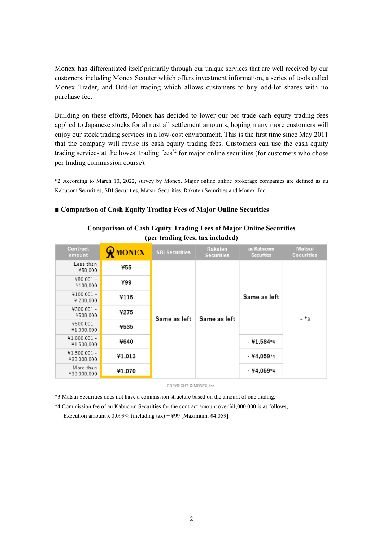Monex has differentiated itself primarily through our unique services that are well received by our customers, including Monex Scouter which offers investment information, a series of tools called Monex Trader, and Odd-lot trading which allows customers to buy odd-lot shares with no purchase fee.

Building on these efforts, Monex has decided to lower our per trade cash equity trading fees applied to Japanese stocks for almost all settlement amounts, hoping many more customers will enjoy our stock trading services in a low-cost environment. This is the first time since May 2011 that the company will revise its cash equity trading fees. Customers can use the cash equity trading services at the lowest trading fees<sup>\*2</sup> for major online securities (for customers who chose per trading commission course).

\*2 According to March 10, 2022, survey by Monex. Major online online brokerage companies are defined as au Kabucom Securities, SBI Securities, Matsui Securities, Rakuten Securities and Monex, Inc.

#### **■ Comparison of Cash Equity Trading Fees of Major Online Securities**

| Contract<br>amount          | <b>PMONEX</b> | <b>SBI Securities</b> | <b>Rakuten</b><br><b>Securities</b> | au Kabucom<br><b>Securities</b> | Matsui<br><b>Securities</b> |
|-----------------------------|---------------|-----------------------|-------------------------------------|---------------------------------|-----------------------------|
| Less than<br>¥50,000        | ¥55           |                       |                                     |                                 |                             |
| ¥50,001 -<br>¥100.000       | ¥99           | Same as left          | Same as left                        | Same as left                    | - *3                        |
| ¥100,001 -<br>¥ 200.000     | ¥115          |                       |                                     |                                 |                             |
| ¥300.001 -<br>¥500,000      | ¥275          |                       |                                     |                                 |                             |
| ¥500.001 -<br>¥1.000.000    | ¥535          |                       |                                     |                                 |                             |
| ¥1,000,001 -<br>¥1,500,000  | ¥640          |                       |                                     | $-41,584*4$                     |                             |
| ¥1.500.001 -<br>¥30,000,000 | ¥1,013        |                       |                                     | - ¥4.059*4                      |                             |
| More than<br>¥30,000,000    | ¥1,070        |                       |                                     | - ¥4.059*4                      |                             |

#### **Comparison of Cash Equity Trading Fees of Major Online Securities (per trading fees, tax included)**

COPYRIGHT @ MONEX, Inc.

\*3 Matsui Securities does not have a commission structure based on the amount of one trading.

\*4 Commission fee of au Kabucom Securities for the contract amount over ¥1,000,000 is as follows; Execution amount x 0.099% (including tax) +  $\frac{100}{100}$  [Maximum:  $\frac{100}{100}$ ].